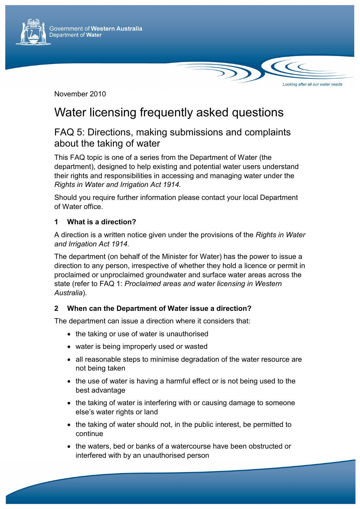

November 2010

# Water licensing frequently asked questions

Looking after all our water needs

## FAQ 5: Directions, making submissions and complaints about the taking of water

This FAQ topic is one of a series from the Department of Water (the department), designed to help existing and potential water users understand their rights and responsibilities in accessing and managing water under the *Rights in Water and Irrigation Act 1914.* 

Should you require further information please contact your local Department of Water office.

### **1 What is a direction?**

A direction is a written notice given under the provisions of the *Rights in Water and Irrigation Act 1914*.

The department (on behalf of the Minister for Water) has the power to issue a direction to any person, irrespective of whether they hold a licence or permit in proclaimed or unproclaimed groundwater and surface water areas across the state (refer to FAQ 1: *Proclaimed areas and water licensing in Western Australia*).

#### **2 When can the Department of Water issue a direction?**

The department can issue a direction where it considers that:

- the taking or use of water is unauthorised
- water is being improperly used or wasted
- all reasonable steps to minimise degradation of the water resource are not being taken
- the use of water is having a harmful effect or is not being used to the best advantage
- the taking of water is interfering with or causing damage to someone else's water rights or land
- the taking of water should not, in the public interest, be permitted to continue
- the waters, bed or banks of a watercourse have been obstructed or interfered with by an unauthorised person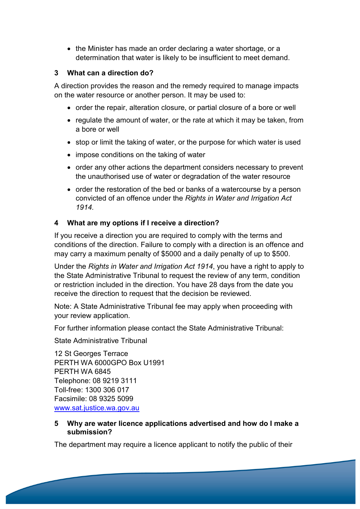• the Minister has made an order declaring a water shortage, or a determination that water is likely to be insufficient to meet demand.

#### **3 What can a direction do?**

A direction provides the reason and the remedy required to manage impacts on the water resource or another person. It may be used to:

- order the repair, alteration closure, or partial closure of a bore or well
- regulate the amount of water, or the rate at which it may be taken, from a bore or well
- stop or limit the taking of water, or the purpose for which water is used
- impose conditions on the taking of water
- order any other actions the department considers necessary to prevent the unauthorised use of water or degradation of the water resource
- order the restoration of the bed or banks of a watercourse by a person convicted of an offence under the *Rights in Water and Irrigation Act 1914.*

#### **4 What are my options if I receive a direction?**

If you receive a direction you are required to comply with the terms and conditions of the direction. Failure to comply with a direction is an offence and may carry a maximum penalty of \$5000 and a daily penalty of up to \$500.

Under the *Rights in Water and Irrigation Act 1914*, you have a right to apply to the State Administrative Tribunal to request the review of any term, condition or restriction included in the direction. You have 28 days from the date you receive the direction to request that the decision be reviewed.

Note: A State Administrative Tribunal fee may apply when proceeding with your review application.

For further information please contact the State Administrative Tribunal:

State Administrative Tribunal

12 St Georges Terrace PERTH WA 6000GPO Box U1991 PERTH WA 6845 Telephone: 08 9219 3111 Toll-free: 1300 306 017 Facsimile: 08 9325 5099 www.sat.justice.wa.gov.au

#### **5 Why are water licence applications advertised and how do I make a submission?**

The department may require a licence applicant to notify the public of their